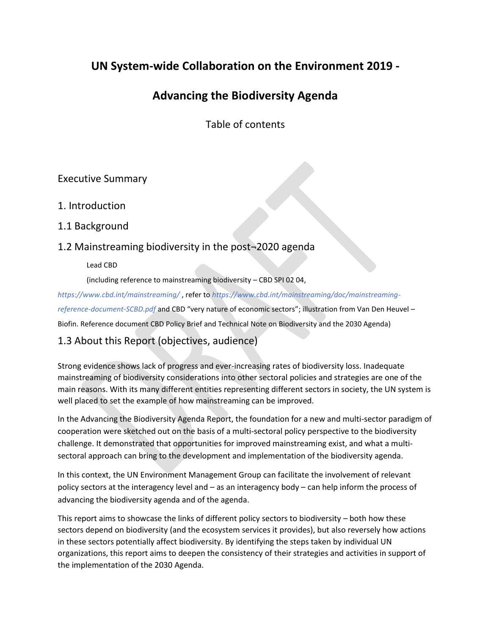# **UN System-wide Collaboration on the Environment 2019 -**

# **Advancing the Biodiversity Agenda**

Table of contents

# Executive Summary

# 1. Introduction

# 1.1 Background

# 1.2 Mainstreaming biodiversity in the post¬2020 agenda

Lead CBD

(including reference to mainstreaming biodiversity – CBD SPI 02 04,

*<https://www.cbd.int/mainstreaming/>* , refer to *[https://www.cbd.int/mainstreaming/doc/mainstreaming](https://www.cbd.int/mainstreaming/doc/mainstreaming-reference-document-SCBD.pdf)[reference-document-SCBD.pdf](https://www.cbd.int/mainstreaming/doc/mainstreaming-reference-document-SCBD.pdf)* and CBD "very nature of economic sectors"; illustration from Van Den Heuvel – Biofin. Reference document CBD Policy Brief and Technical Note on Biodiversity and the 2030 Agenda)

# 1.3 About this Report (objectives, audience)

Strong evidence shows lack of progress and ever-increasing rates of biodiversity loss. Inadequate mainstreaming of biodiversity considerations into other sectoral policies and strategies are one of the main reasons. With its many different entities representing different sectors in society, the UN system is well placed to set the example of how mainstreaming can be improved.

In the Advancing the Biodiversity Agenda Report, the foundation for a new and multi-sector paradigm of cooperation were sketched out on the basis of a multi-sectoral policy perspective to the biodiversity challenge. It demonstrated that opportunities for improved mainstreaming exist, and what a multisectoral approach can bring to the development and implementation of the biodiversity agenda.

In this context, the UN Environment Management Group can facilitate the involvement of relevant policy sectors at the interagency level and – as an interagency body – can help inform the process of advancing the biodiversity agenda and of the agenda.

This report aims to showcase the links of different policy sectors to biodiversity – both how these sectors depend on biodiversity (and the ecosystem services it provides), but also reversely how actions in these sectors potentially affect biodiversity. By identifying the steps taken by individual UN organizations, this report aims to deepen the consistency of their strategies and activities in support of the implementation of the 2030 Agenda.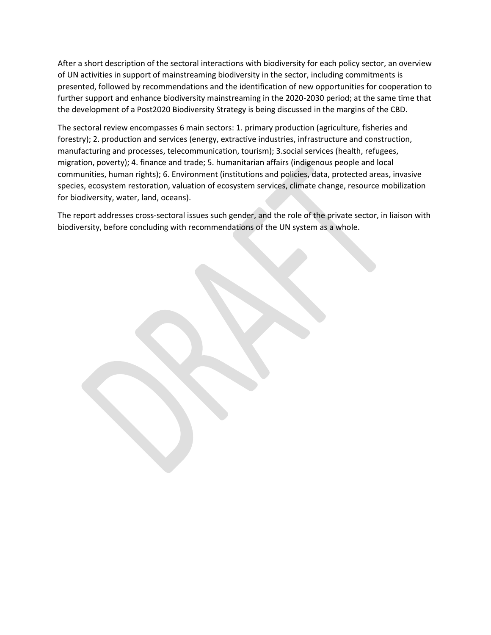After a short description of the sectoral interactions with biodiversity for each policy sector, an overview of UN activities in support of mainstreaming biodiversity in the sector, including commitments is presented, followed by recommendations and the identification of new opportunities for cooperation to further support and enhance biodiversity mainstreaming in the 2020-2030 period; at the same time that the development of a Post2020 Biodiversity Strategy is being discussed in the margins of the CBD.

The sectoral review encompasses 6 main sectors: 1. primary production (agriculture, fisheries and forestry); 2. production and services (energy, extractive industries, infrastructure and construction, manufacturing and processes, telecommunication, tourism); 3.social services (health, refugees, migration, poverty); 4. finance and trade; 5. humanitarian affairs (indigenous people and local communities, human rights); 6. Environment (institutions and policies, data, protected areas, invasive species, ecosystem restoration, valuation of ecosystem services, climate change, resource mobilization for biodiversity, water, land, oceans).

The report addresses cross-sectoral issues such gender, and the role of the private sector, in liaison with biodiversity, before concluding with recommendations of the UN system as a whole.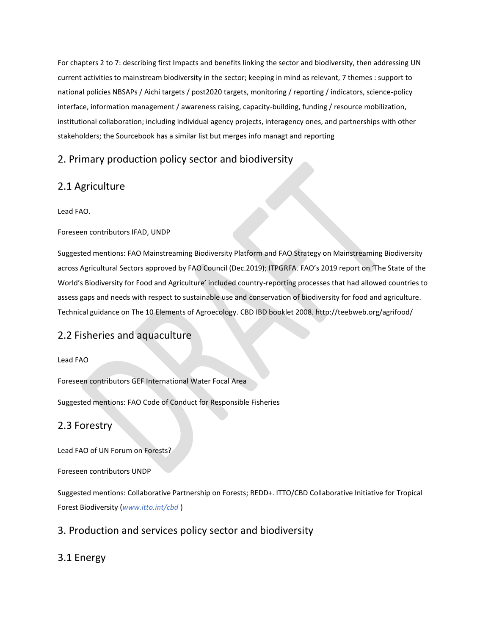For chapters 2 to 7: describing first Impacts and benefits linking the sector and biodiversity, then addressing UN current activities to mainstream biodiversity in the sector; keeping in mind as relevant, 7 themes : support to national policies NBSAPs / Aichi targets / post2020 targets, monitoring / reporting / indicators, science-policy interface, information management / awareness raising, capacity-building, funding / resource mobilization, institutional collaboration; including individual agency projects, interagency ones, and partnerships with other stakeholders; the Sourcebook has a similar list but merges info managt and reporting

# 2. Primary production policy sector and biodiversity

# 2.1 Agriculture

Lead FAO.

#### Foreseen contributors IFAD, UNDP

Suggested mentions: FAO Mainstreaming Biodiversity Platform and FAO Strategy on Mainstreaming Biodiversity across Agricultural Sectors approved by FAO Council (Dec.2019); ITPGRFA. FAO's 2019 report on 'The State of the World's Biodiversity for Food and Agriculture' included country-reporting processes that had allowed countries to assess gaps and needs with respect to sustainable use and conservation of biodiversity for food and agriculture. Technical guidance on The 10 Elements of Agroecology. CBD IBD booklet 2008. http://teebweb.org/agrifood/

# 2.2 Fisheries and aquaculture

#### Lead FAO

Foreseen contributors GEF International Water Focal Area

Suggested mentions: FAO Code of Conduct for Responsible Fisheries

### 2.3 Forestry

Lead FAO of UN Forum on Forests?

Foreseen contributors UNDP

Suggested mentions: Collaborative Partnership on Forests; REDD+. ITTO/CBD Collaborative Initiative for Tropical Forest Biodiversity (*[www.itto.int/cbd](http://www.itto.int/cbd)* )

## 3. Production and services policy sector and biodiversity

# 3.1 Energy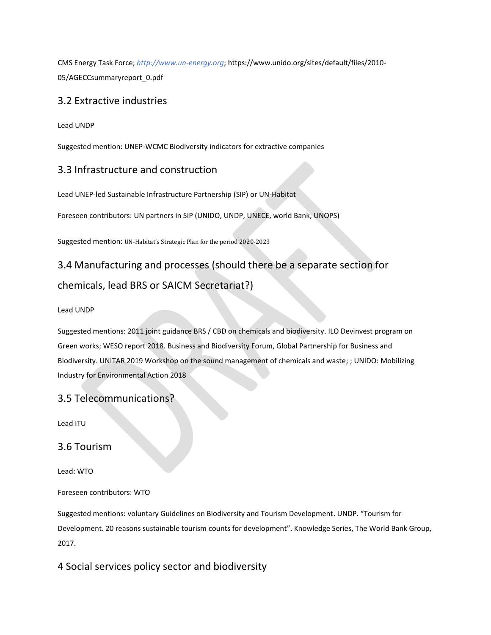CMS Energy Task Force; *[http://www.un-energy.org](http://www.un-energy.org/)*; https://www.unido.org/sites/default/files/2010- 05/AGECCsummaryreport\_0.pdf

## 3.2 Extractive industries

Lead UNDP

Suggested mention: UNEP-WCMC Biodiversity indicators for extractive companies

## 3.3 Infrastructure and construction

Lead UNEP-led Sustainable Infrastructure Partnership (SIP) or UN-Habitat

Foreseen contributors: UN partners in SIP (UNIDO, UNDP, UNECE, world Bank, UNOPS)

Suggested mention: UN-Habitat's Strategic Plan for the period 2020-2023

# 3.4 Manufacturing and processes (should there be a separate section for chemicals, lead BRS or SAICM Secretariat?)

#### Lead UNDP

Suggested mentions: 2011 joint guidance BRS / CBD on chemicals and biodiversity. ILO Devinvest program on Green works; WESO report 2018. Business and Biodiversity Forum, Global Partnership for Business and Biodiversity. UNITAR 2019 Workshop on the sound management of chemicals and waste; ; UNIDO: Mobilizing Industry for Environmental Action 2018

### 3.5 Telecommunications?

Lead ITU

### 3.6 Tourism

Lead: WTO

Foreseen contributors: WTO

Suggested mentions: voluntary Guidelines on Biodiversity and Tourism Development. UNDP. "Tourism for Development. 20 reasons sustainable tourism counts for development". Knowledge Series, The World Bank Group, 2017.

4 Social services policy sector and biodiversity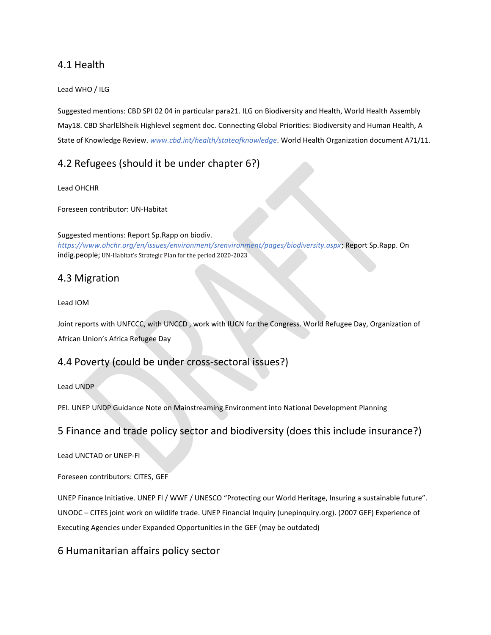## 4.1 Health

#### Lead WHO / ILG

Suggested mentions: CBD SPI 02 04 in particular para21. ILG on Biodiversity and Health, World Health Assembly May18. CBD SharlElSheik Highlevel segment doc. Connecting Global Priorities: Biodiversity and Human Health, A State of Knowledge Review. *[www.cbd.int/health/stateofknowledge](http://www.cbd.int/health/stateofknowledge)*. World Health Organization document A71/11.

# 4.2 Refugees (should it be under chapter 6?)

#### Lead OHCHR

Foreseen contributor: UN-Habitat

Suggested mentions: Report Sp.Rapp on biodiv. *<https://www.ohchr.org/en/issues/environment/srenvironment/pages/biodiversity.aspx>*; Report Sp.Rapp. On indig.people; UN-Habitat's Strategic Plan for the period 2020-2023

### 4.3 Migration

#### Lead IOM

Joint reports with UNFCCC, with UNCCD , work with IUCN for the Congress. World Refugee Day, Organization of African Union's Africa Refugee Day

### 4.4 Poverty (could be under cross-sectoral issues?)

#### Lead UNDP

PEI. UNEP UNDP Guidance Note on Mainstreaming Environment into National Development Planning

# 5 Finance and trade policy sector and biodiversity (does this include insurance?)

Lead UNCTAD or UNEP-FI

#### Foreseen contributors: CITES, GEF

UNEP Finance Initiative. UNEP FI / WWF / UNESCO "Protecting our World Heritage, Insuring a sustainable future". UNODC – CITES joint work on wildlife trade. UNEP Financial Inquiry (unepinquiry.org). (2007 GEF) Experience of Executing Agencies under Expanded Opportunities in the GEF (may be outdated)

## 6 Humanitarian affairs policy sector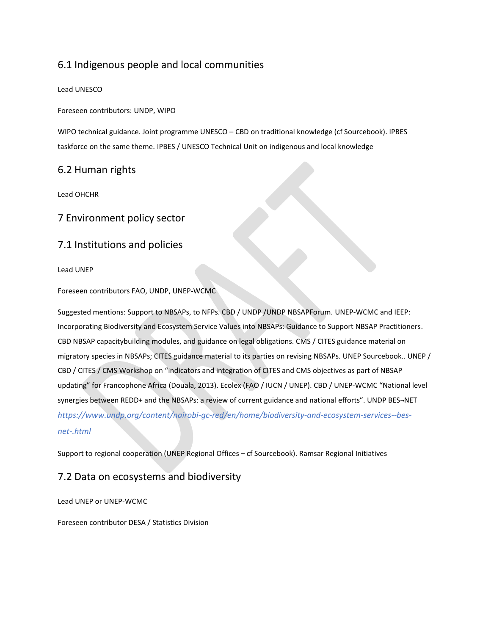# 6.1 Indigenous people and local communities

#### Lead UNESCO

Foreseen contributors: UNDP, WIPO

WIPO technical guidance. Joint programme UNESCO – CBD on traditional knowledge (cf Sourcebook). IPBES taskforce on the same theme. IPBES / UNESCO Technical Unit on indigenous and local knowledge

### 6.2 Human rights

Lead OHCHR

### 7 Environment policy sector

### 7.1 Institutions and policies

#### Lead UNEP

Foreseen contributors FAO, UNDP, UNEP-WCMC

Suggested mentions: Support to NBSAPs, to NFPs. CBD / UNDP /UNDP NBSAPForum. UNEP-WCMC and IEEP: Incorporating Biodiversity and Ecosystem Service Values into NBSAPs: Guidance to Support NBSAP Practitioners. CBD NBSAP capacitybuilding modules, and guidance on legal obligations. CMS / CITES guidance material on migratory species in NBSAPs; CITES guidance material to its parties on revising NBSAPs. UNEP Sourcebook.. UNEP / CBD / CITES / CMS Workshop on "indicators and integration of CITES and CMS objectives as part of NBSAP updating" for Francophone Africa (Douala, 2013). Ecolex (FAO / IUCN / UNEP). CBD / UNEP-WCMC "National level synergies between REDD+ and the NBSAPs: a review of current guidance and national efforts". UNDP BES¬NET *[https://www.undp.org/content/nairobi-gc-red/en/home/biodiversity-and-ecosystem-services--bes](https://www.undp.org/content/nairobi-gc-red/en/home/biodiversity-and-ecosystem-services--bes-net-.html)[net-.html](https://www.undp.org/content/nairobi-gc-red/en/home/biodiversity-and-ecosystem-services--bes-net-.html)*

Support to regional cooperation (UNEP Regional Offices – cf Sourcebook). Ramsar Regional Initiatives

### 7.2 Data on ecosystems and biodiversity

Lead UNEP or UNEP-WCMC

Foreseen contributor DESA / Statistics Division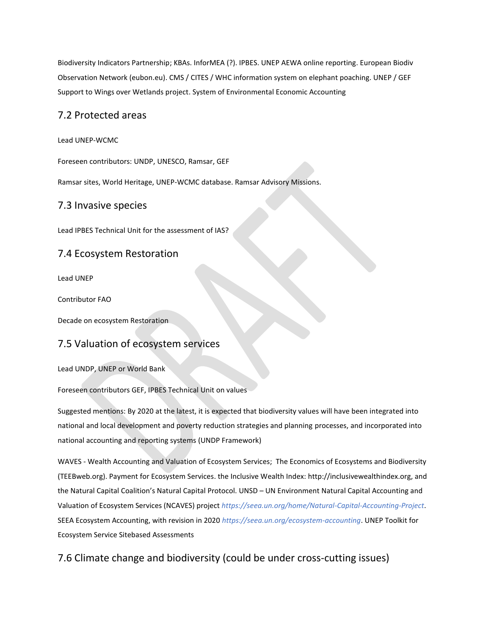Biodiversity Indicators Partnership; KBAs. InforMEA (?). IPBES. UNEP AEWA online reporting. European Biodiv Observation Network (eubon.eu). CMS / CITES / WHC information system on elephant poaching. UNEP / GEF Support to Wings over Wetlands project. System of Environmental Economic Accounting

### 7.2 Protected areas

Lead UNEP-WCMC

Foreseen contributors: UNDP, UNESCO, Ramsar, GEF

Ramsar sites, World Heritage, UNEP-WCMC database. Ramsar Advisory Missions.

### 7.3 Invasive species

Lead IPBES Technical Unit for the assessment of IAS?

### 7.4 Ecosystem Restoration

Lead UNEP

Contributor FAO

Decade on ecosystem Restoration

### 7.5 Valuation of ecosystem services

Lead UNDP, UNEP or World Bank

Foreseen contributors GEF, IPBES Technical Unit on values

Suggested mentions: By 2020 at the latest, it is expected that biodiversity values will have been integrated into national and local development and poverty reduction strategies and planning processes, and incorporated into national accounting and reporting systems (UNDP Framework)

WAVES - Wealth Accounting and Valuation of Ecosystem Services; The Economics of Ecosystems and Biodiversity (TEEBweb.org). Payment for Ecosystem Services. the Inclusive Wealth Index: http://inclusivewealthindex.org, and the Natural Capital Coalition's Natural Capital Protocol. UNSD – UN Environment Natural Capital Accounting and Valuation of Ecosystem Services (NCAVES) project *<https://seea.un.org/home/Natural-Capital-Accounting-Project>*. SEEA Ecosystem Accounting, with revision in 2020 *<https://seea.un.org/ecosystem-accounting>*. UNEP Toolkit for Ecosystem Service Sitebased Assessments

## 7.6 Climate change and biodiversity (could be under cross-cutting issues)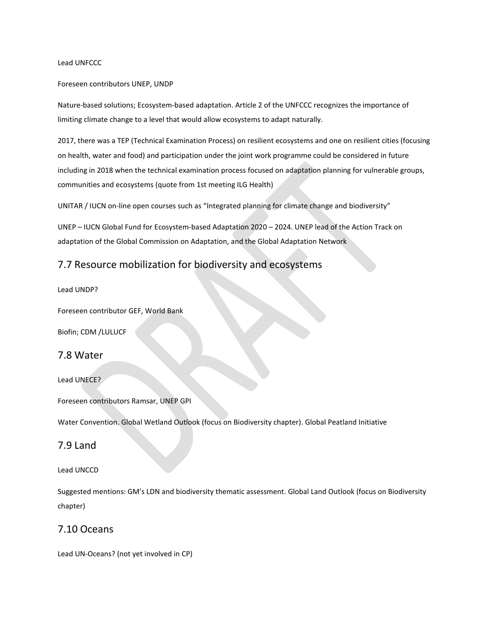#### Lead UNFCCC

#### Foreseen contributors UNEP, UNDP

Nature-based solutions; Ecosystem-based adaptation. Article 2 of the UNFCCC recognizes the importance of limiting climate change to a level that would allow ecosystems to adapt naturally.

2017, there was a TEP (Technical Examination Process) on resilient ecosystems and one on resilient cities (focusing on health, water and food) and participation under the joint work programme could be considered in future including in 2018 when the technical examination process focused on adaptation planning for vulnerable groups, communities and ecosystems (quote from 1st meeting ILG Health)

UNITAR / IUCN on-line open courses such as "Integrated planning for climate change and biodiversity"

UNEP – IUCN Global Fund for Ecosystem-based Adaptation 2020 – 2024. UNEP lead of the Action Track on adaptation of the Global Commission on Adaptation, and the Global Adaptation Network

## 7.7 Resource mobilization for biodiversity and ecosystems

#### Lead UNDP?

Foreseen contributor GEF, World Bank

Biofin; CDM /LULUCF

#### 7.8 Water

Lead UNECE?

Foreseen contributors Ramsar, UNEP GPI

Water Convention. Global Wetland Outlook (focus on Biodiversity chapter). Global Peatland Initiative

#### 7.9 Land

#### Lead UNCCD

Suggested mentions: GM's LDN and biodiversity thematic assessment. Global Land Outlook (focus on Biodiversity chapter)

### 7.10 Oceans

Lead UN-Oceans? (not yet involved in CP)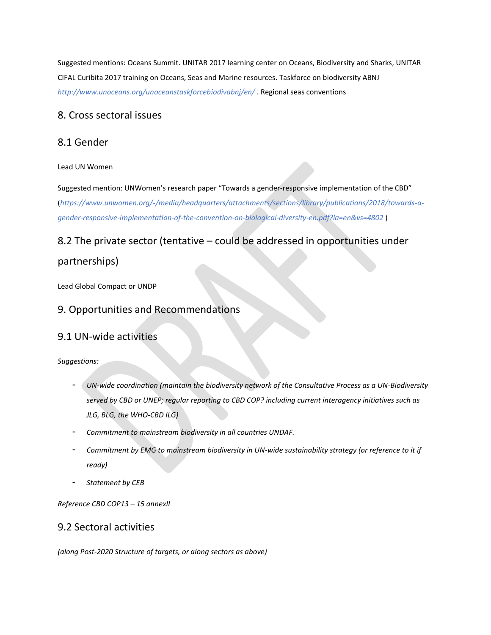Suggested mentions: Oceans Summit. UNITAR 2017 learning center on Oceans, Biodiversity and Sharks, UNITAR CIFAL Curibita 2017 training on Oceans, Seas and Marine resources. Taskforce on biodiversity ABNJ *<http://www.unoceans.org/unoceanstaskforcebiodivabnj/en/>* . Regional seas conventions

### 8. Cross sectoral issues

### 8.1 Gender

#### Lead UN Women

Suggested mention: UNWomen's research paper "Towards a gender-responsive implementation of the CBD" (*[https://www.unwomen.org/-/media/headquarters/attachments/sections/library/publications/2018/towards-a](https://www.unwomen.org/-/media/headquarters/attachments/sections/library/publications/2018/towards-a-gender-responsive-implementation-of-the-convention-on-biological-diversity-en.pdf?la=en&vs=4802)[gender-responsive-implementation-of-the-convention-on-biological-diversity-en.pdf?la=en&vs=4802](https://www.unwomen.org/-/media/headquarters/attachments/sections/library/publications/2018/towards-a-gender-responsive-implementation-of-the-convention-on-biological-diversity-en.pdf?la=en&vs=4802)* )

# 8.2 The private sector (tentative – could be addressed in opportunities under

## partnerships)

Lead Global Compact or UNDP

## 9. Opportunities and Recommendations

## 9.1 UN-wide activities

*Suggestions:*

- *UN-wide coordination (maintain the biodiversity network of the Consultative Process as a UN-Biodiversity served by CBD or UNEP; regular reporting to CBD COP? including current interagency initiatives such as JLG, BLG, the WHO-CBD ILG)*
- *Commitment to mainstream biodiversity in all countries UNDAF.*
- *Commitment by EMG to mainstream biodiversity in UN-wide sustainability strategy (or reference to it if ready)*
- *Statement by CEB*

*Reference CBD COP13 – 15 annexII*

### 9.2 Sectoral activities

*(along Post-2020 Structure of targets, or along sectors as above)*